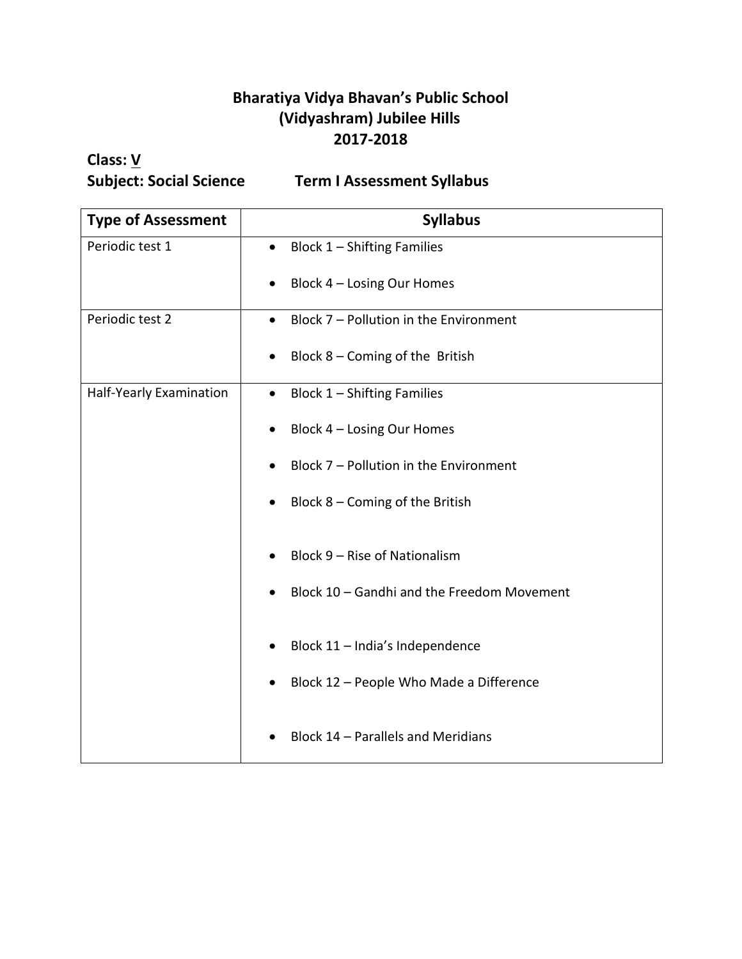## **Bharatiya Vidya Bhavan's Public School (Vidyashram) Jubilee Hills 2017-2018**

## **Class: V**

**Subject: Social Science Term I Assessment Syllabus**

| <b>Type of Assessment</b> | <b>Syllabus</b>                                      |
|---------------------------|------------------------------------------------------|
| Periodic test 1           | Block $1$ – Shifting Families<br>٠                   |
|                           | Block 4 - Losing Our Homes                           |
| Periodic test 2           | Block 7 - Pollution in the Environment<br>$\bullet$  |
|                           | Block $8$ – Coming of the British                    |
| Half-Yearly Examination   | Block 1 - Shifting Families<br>$\bullet$             |
|                           | Block 4 - Losing Our Homes                           |
|                           | Block 7 - Pollution in the Environment               |
|                           | Block $8$ – Coming of the British                    |
|                           | Block 9 - Rise of Nationalism                        |
|                           | Block 10 - Gandhi and the Freedom Movement           |
|                           | Block 11 - India's Independence                      |
|                           | Block 12 - People Who Made a Difference<br>$\bullet$ |
|                           | Block 14 - Parallels and Meridians                   |